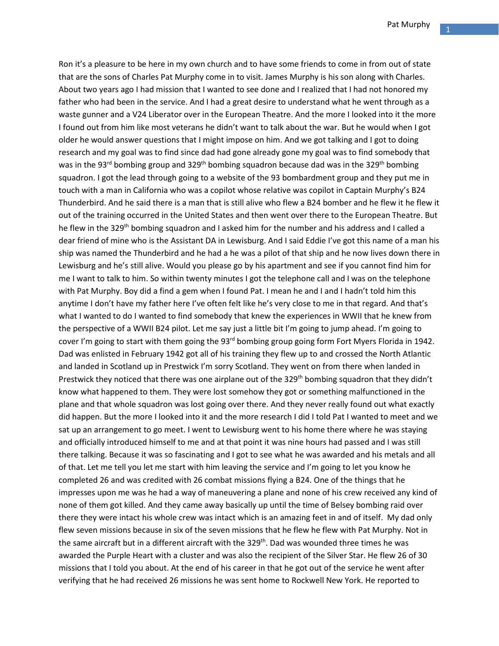Ron it's a pleasure to be here in my own church and to have some friends to come in from out of state that are the sons of Charles Pat Murphy come in to visit. James Murphy is his son along with Charles. About two years ago I had mission that I wanted to see done and I realized that I had not honored my father who had been in the service. And I had a great desire to understand what he went through as a waste gunner and a V24 Liberator over in the European Theatre. And the more I looked into it the more I found out from him like most veterans he didn't want to talk about the war. But he would when I got older he would answer questions that I might impose on him. And we got talking and I got to doing research and my goal was to find since dad had gone already gone my goal was to find somebody that was in the 93<sup>rd</sup> bombing group and 329<sup>th</sup> bombing squadron because dad was in the 329<sup>th</sup> bombing squadron. I got the lead through going to a website of the 93 bombardment group and they put me in touch with a man in California who was a copilot whose relative was copilot in Captain Murphy's B24 Thunderbird. And he said there is a man that is still alive who flew a B24 bomber and he flew it he flew it out of the training occurred in the United States and then went over there to the European Theatre. But he flew in the 329<sup>th</sup> bombing squadron and I asked him for the number and his address and I called a dear friend of mine who is the Assistant DA in Lewisburg. And I said Eddie I've got this name of a man his ship was named the Thunderbird and he had a he was a pilot of that ship and he now lives down there in Lewisburg and he's still alive. Would you please go by his apartment and see if you cannot find him for me I want to talk to him. So within twenty minutes I got the telephone call and I was on the telephone with Pat Murphy. Boy did a find a gem when I found Pat. I mean he and I and I hadn't told him this anytime I don't have my father here I've often felt like he's very close to me in that regard. And that's what I wanted to do I wanted to find somebody that knew the experiences in WWII that he knew from the perspective of a WWII B24 pilot. Let me say just a little bit I'm going to jump ahead. I'm going to cover I'm going to start with them going the 93<sup>rd</sup> bombing group going form Fort Myers Florida in 1942. Dad was enlisted in February 1942 got all of his training they flew up to and crossed the North Atlantic and landed in Scotland up in Prestwick I'm sorry Scotland. They went on from there when landed in Prestwick they noticed that there was one airplane out of the 329<sup>th</sup> bombing squadron that they didn't know what happened to them. They were lost somehow they got or something malfunctioned in the plane and that whole squadron was lost going over there. And they never really found out what exactly did happen. But the more I looked into it and the more research I did I told Pat I wanted to meet and we sat up an arrangement to go meet. I went to Lewisburg went to his home there where he was staying and officially introduced himself to me and at that point it was nine hours had passed and I was still there talking. Because it was so fascinating and I got to see what he was awarded and his metals and all of that. Let me tell you let me start with him leaving the service and I'm going to let you know he completed 26 and was credited with 26 combat missions flying a B24. One of the things that he impresses upon me was he had a way of maneuvering a plane and none of his crew received any kind of none of them got killed. And they came away basically up until the time of Belsey bombing raid over there they were intact his whole crew was intact which is an amazing feet in and of itself. My dad only flew seven missions because in six of the seven missions that he flew he flew with Pat Murphy. Not in the same aircraft but in a different aircraft with the 329<sup>th</sup>. Dad was wounded three times he was awarded the Purple Heart with a cluster and was also the recipient of the Silver Star. He flew 26 of 30 missions that I told you about. At the end of his career in that he got out of the service he went after verifying that he had received 26 missions he was sent home to Rockwell New York. He reported to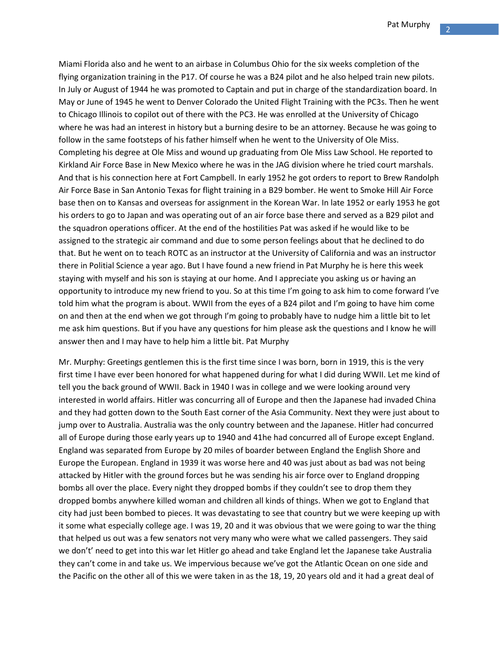Miami Florida also and he went to an airbase in Columbus Ohio for the six weeks completion of the flying organization training in the P17. Of course he was a B24 pilot and he also helped train new pilots. In July or August of 1944 he was promoted to Captain and put in charge of the standardization board. In May or June of 1945 he went to Denver Colorado the United Flight Training with the PC3s. Then he went to Chicago Illinois to copilot out of there with the PC3. He was enrolled at the University of Chicago where he was had an interest in history but a burning desire to be an attorney. Because he was going to follow in the same footsteps of his father himself when he went to the University of Ole Miss. Completing his degree at Ole Miss and wound up graduating from Ole Miss Law School. He reported to Kirkland Air Force Base in New Mexico where he was in the JAG division where he tried court marshals. And that is his connection here at Fort Campbell. In early 1952 he got orders to report to Brew Randolph Air Force Base in San Antonio Texas for flight training in a B29 bomber. He went to Smoke Hill Air Force base then on to Kansas and overseas for assignment in the Korean War. In late 1952 or early 1953 he got his orders to go to Japan and was operating out of an air force base there and served as a B29 pilot and the squadron operations officer. At the end of the hostilities Pat was asked if he would like to be assigned to the strategic air command and due to some person feelings about that he declined to do that. But he went on to teach ROTC as an instructor at the University of California and was an instructor there in Politial Science a year ago. But I have found a new friend in Pat Murphy he is here this week staying with myself and his son is staying at our home. And I appreciate you asking us or having an opportunity to introduce my new friend to you. So at this time I'm going to ask him to come forward I've told him what the program is about. WWII from the eyes of a B24 pilot and I'm going to have him come on and then at the end when we got through I'm going to probably have to nudge him a little bit to let me ask him questions. But if you have any questions for him please ask the questions and I know he will answer then and I may have to help him a little bit. Pat Murphy

Mr. Murphy: Greetings gentlemen this is the first time since I was born, born in 1919, this is the very first time I have ever been honored for what happened during for what I did during WWII. Let me kind of tell you the back ground of WWII. Back in 1940 I was in college and we were looking around very interested in world affairs. Hitler was concurring all of Europe and then the Japanese had invaded China and they had gotten down to the South East corner of the Asia Community. Next they were just about to jump over to Australia. Australia was the only country between and the Japanese. Hitler had concurred all of Europe during those early years up to 1940 and 41he had concurred all of Europe except England. England was separated from Europe by 20 miles of boarder between England the English Shore and Europe the European. England in 1939 it was worse here and 40 was just about as bad was not being attacked by Hitler with the ground forces but he was sending his air force over to England dropping bombs all over the place. Every night they dropped bombs if they couldn't see to drop them they dropped bombs anywhere killed woman and children all kinds of things. When we got to England that city had just been bombed to pieces. It was devastating to see that country but we were keeping up with it some what especially college age. I was 19, 20 and it was obvious that we were going to war the thing that helped us out was a few senators not very many who were what we called passengers. They said we don't' need to get into this war let Hitler go ahead and take England let the Japanese take Australia they can't come in and take us. We impervious because we've got the Atlantic Ocean on one side and the Pacific on the other all of this we were taken in as the 18, 19, 20 years old and it had a great deal of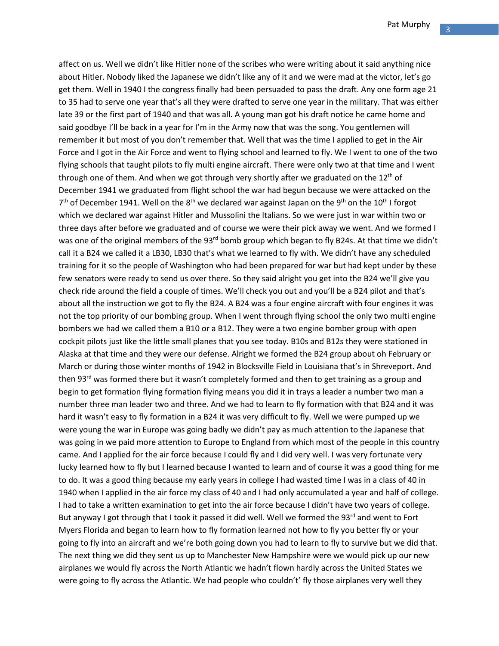affect on us. Well we didn't like Hitler none of the scribes who were writing about it said anything nice about Hitler. Nobody liked the Japanese we didn't like any of it and we were mad at the victor, let's go get them. Well in 1940 I the congress finally had been persuaded to pass the draft. Any one form age 21 to 35 had to serve one year that's all they were drafted to serve one year in the military. That was either late 39 or the first part of 1940 and that was all. A young man got his draft notice he came home and said goodbye I'll be back in a year for I'm in the Army now that was the song. You gentlemen will remember it but most of you don't remember that. Well that was the time I applied to get in the Air Force and I got in the Air Force and went to flying school and learned to fly. We I went to one of the two flying schools that taught pilots to fly multi engine aircraft. There were only two at that time and I went through one of them. And when we got through very shortly after we graduated on the  $12<sup>th</sup>$  of December 1941 we graduated from flight school the war had begun because we were attacked on the  $7<sup>th</sup>$  of December 1941. Well on the 8<sup>th</sup> we declared war against Japan on the 9<sup>th</sup> on the 10<sup>th</sup> I forgot which we declared war against Hitler and Mussolini the Italians. So we were just in war within two or three days after before we graduated and of course we were their pick away we went. And we formed I was one of the original members of the 93<sup>rd</sup> bomb group which began to fly B24s. At that time we didn't call it a B24 we called it a LB30, LB30 that's what we learned to fly with. We didn't have any scheduled training for it so the people of Washington who had been prepared for war but had kept under by these few senators were ready to send us over there. So they said alright you get into the B24 we'll give you check ride around the field a couple of times. We'll check you out and you'll be a B24 pilot and that's about all the instruction we got to fly the B24. A B24 was a four engine aircraft with four engines it was not the top priority of our bombing group. When I went through flying school the only two multi engine bombers we had we called them a B10 or a B12. They were a two engine bomber group with open cockpit pilots just like the little small planes that you see today. B10s and B12s they were stationed in Alaska at that time and they were our defense. Alright we formed the B24 group about oh February or March or during those winter months of 1942 in Blocksville Field in Louisiana that's in Shreveport. And then 93<sup>rd</sup> was formed there but it wasn't completely formed and then to get training as a group and begin to get formation flying formation flying means you did it in trays a leader a number two man a number three man leader two and three. And we had to learn to fly formation with that B24 and it was hard it wasn't easy to fly formation in a B24 it was very difficult to fly. Well we were pumped up we were young the war in Europe was going badly we didn't pay as much attention to the Japanese that was going in we paid more attention to Europe to England from which most of the people in this country came. And I applied for the air force because I could fly and I did very well. I was very fortunate very lucky learned how to fly but I learned because I wanted to learn and of course it was a good thing for me to do. It was a good thing because my early years in college I had wasted time I was in a class of 40 in 1940 when I applied in the air force my class of 40 and I had only accumulated a year and half of college. I had to take a written examination to get into the air force because I didn't have two years of college. But anyway I got through that I took it passed it did well. Well we formed the 93<sup>rd</sup> and went to Fort Myers Florida and began to learn how to fly formation learned not how to fly you better fly or your going to fly into an aircraft and we're both going down you had to learn to fly to survive but we did that. The next thing we did they sent us up to Manchester New Hampshire were we would pick up our new airplanes we would fly across the North Atlantic we hadn't flown hardly across the United States we were going to fly across the Atlantic. We had people who couldn't' fly those airplanes very well they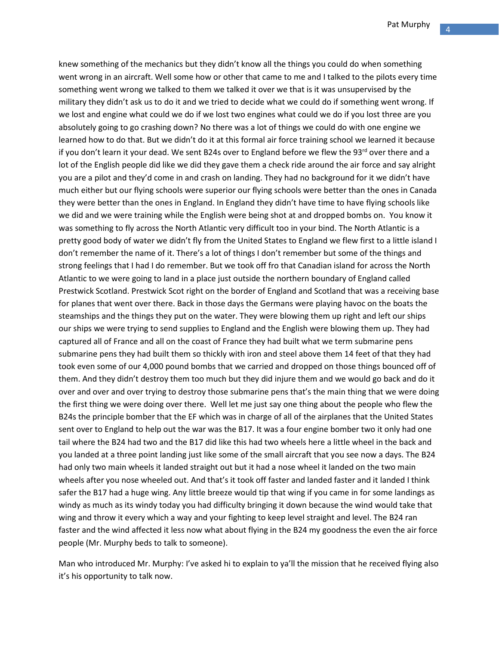knew something of the mechanics but they didn't know all the things you could do when something went wrong in an aircraft. Well some how or other that came to me and I talked to the pilots every time something went wrong we talked to them we talked it over we that is it was unsupervised by the military they didn't ask us to do it and we tried to decide what we could do if something went wrong. If we lost and engine what could we do if we lost two engines what could we do if you lost three are you absolutely going to go crashing down? No there was a lot of things we could do with one engine we learned how to do that. But we didn't do it at this formal air force training school we learned it because if you don't learn it your dead. We sent B24s over to England before we flew the 93 $^{\text{rd}}$  over there and a lot of the English people did like we did they gave them a check ride around the air force and say alright you are a pilot and they'd come in and crash on landing. They had no background for it we didn't have much either but our flying schools were superior our flying schools were better than the ones in Canada they were better than the ones in England. In England they didn't have time to have flying schools like we did and we were training while the English were being shot at and dropped bombs on. You know it was something to fly across the North Atlantic very difficult too in your bind. The North Atlantic is a pretty good body of water we didn't fly from the United States to England we flew first to a little island I don't remember the name of it. There's a lot of things I don't remember but some of the things and strong feelings that I had I do remember. But we took off fro that Canadian island for across the North Atlantic to we were going to land in a place just outside the northern boundary of England called Prestwick Scotland. Prestwick Scot right on the border of England and Scotland that was a receiving base for planes that went over there. Back in those days the Germans were playing havoc on the boats the steamships and the things they put on the water. They were blowing them up right and left our ships our ships we were trying to send supplies to England and the English were blowing them up. They had captured all of France and all on the coast of France they had built what we term submarine pens submarine pens they had built them so thickly with iron and steel above them 14 feet of that they had took even some of our 4,000 pound bombs that we carried and dropped on those things bounced off of them. And they didn't destroy them too much but they did injure them and we would go back and do it over and over and over trying to destroy those submarine pens that's the main thing that we were doing the first thing we were doing over there. Well let me just say one thing about the people who flew the B24s the principle bomber that the EF which was in charge of all of the airplanes that the United States sent over to England to help out the war was the B17. It was a four engine bomber two it only had one tail where the B24 had two and the B17 did like this had two wheels here a little wheel in the back and you landed at a three point landing just like some of the small aircraft that you see now a days. The B24 had only two main wheels it landed straight out but it had a nose wheel it landed on the two main wheels after you nose wheeled out. And that's it took off faster and landed faster and it landed I think safer the B17 had a huge wing. Any little breeze would tip that wing if you came in for some landings as windy as much as its windy today you had difficulty bringing it down because the wind would take that wing and throw it every which a way and your fighting to keep level straight and level. The B24 ran faster and the wind affected it less now what about flying in the B24 my goodness the even the air force people (Mr. Murphy beds to talk to someone).

Man who introduced Mr. Murphy: I've asked hi to explain to ya'll the mission that he received flying also it's his opportunity to talk now.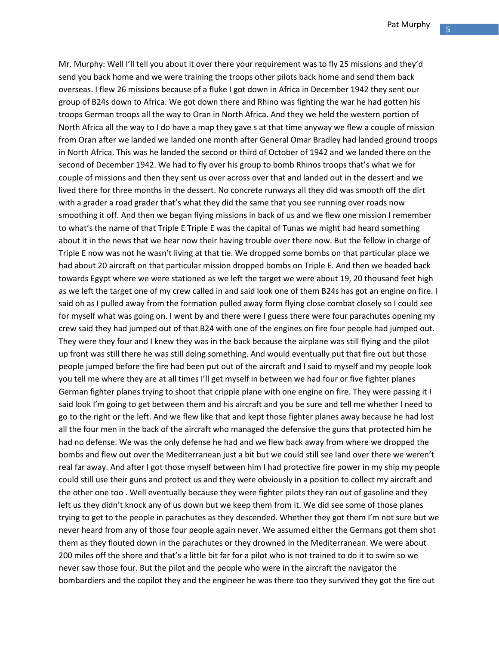Mr. Murphy: Well I'll tell you about it over there your requirement was to fly 25 missions and they'd send you back home and we were training the troops other pilots back home and send them back overseas. I flew 26 missions because of a fluke I got down in Africa in December 1942 they sent our group of B24s down to Africa. We got down there and Rhino was fighting the war he had gotten his troops German troops all the way to Oran in North Africa. And they we held the western portion of North Africa all the way to I do have a map they gave s at that time anyway we flew a couple of mission from Oran after we landed we landed one month after General Omar Bradley had landed ground troops in North Africa. This was he landed the second or third of October of 1942 and we landed there on the second of December 1942. We had to fly over his group to bomb Rhinos troops that's what we for couple of missions and then they sent us over across over that and landed out in the dessert and we lived there for three months in the dessert. No concrete runways all they did was smooth off the dirt with a grader a road grader that's what they did the same that you see running over roads now smoothing it off. And then we began flying missions in back of us and we flew one mission I remember to what's the name of that Triple E Triple E was the capital of Tunas we might had heard something about it in the news that we hear now their having trouble over there now. But the fellow in charge of Triple E now was not he wasn't living at that tie. We dropped some bombs on that particular place we had about 20 aircraft on that particular mission dropped bombs on Triple E. And then we headed back towards Egypt where we were stationed as we left the target we were about 19, 20 thousand feet high as we left the target one of my crew called in and said look one of them B24s has got an engine on fire. I said oh as I pulled away from the formation pulled away form flying close combat closely so I could see for myself what was going on. I went by and there were I guess there were four parachutes opening my crew said they had jumped out of that B24 with one of the engines on fire four people had jumped out. They were they four and I knew they was in the back because the airplane was still flying and the pilot up front was still there he was still doing something. And would eventually put that fire out but those people jumped before the fire had been put out of the aircraft and I said to myself and my people look you tell me where they are at all times I'll get myself in between we had four or five fighter planes German fighter planes trying to shoot that cripple plane with one engine on fire. They were passing it I said look I'm going to get between them and his aircraft and you be sure and tell me whether I need to go to the right or the left. And we flew like that and kept those fighter planes away because he had lost all the four men in the back of the aircraft who managed the defensive the guns that protected him he had no defense. We was the only defense he had and we flew back away from where we dropped the bombs and flew out over the Mediterranean just a bit but we could still see land over there we weren't real far away. And after I got those myself between him I had protective fire power in my ship my people could still use their guns and protect us and they were obviously in a position to collect my aircraft and the other one too . Well eventually because they were fighter pilots they ran out of gasoline and they left us they didn't knock any of us down but we keep them from it. We did see some of those planes trying to get to the people in parachutes as they descended. Whether they got them I'm not sure but we never heard from any of those four people again never. We assumed either the Germans got them shot them as they flouted down in the parachutes or they drowned in the Mediterranean. We were about 200 miles off the shore and that's a little bit far for a pilot who is not trained to do it to swim so we never saw those four. But the pilot and the people who were in the aircraft the navigator the bombardiers and the copilot they and the engineer he was there too they survived they got the fire out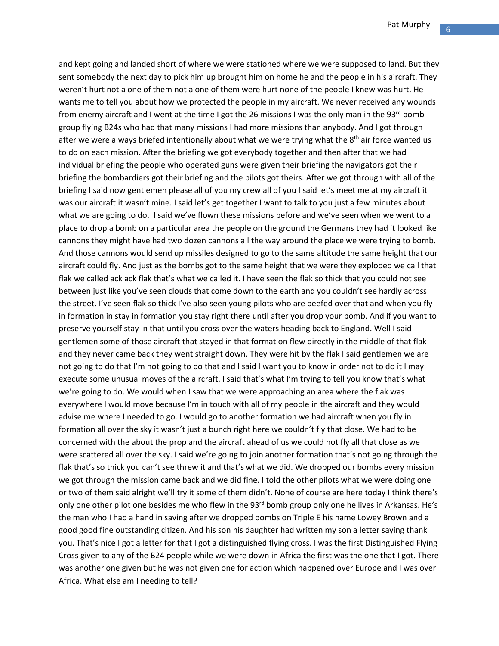and kept going and landed short of where we were stationed where we were supposed to land. But they sent somebody the next day to pick him up brought him on home he and the people in his aircraft. They weren't hurt not a one of them not a one of them were hurt none of the people I knew was hurt. He wants me to tell you about how we protected the people in my aircraft. We never received any wounds from enemy aircraft and I went at the time I got the 26 missions I was the only man in the 93<sup>rd</sup> bomb group flying B24s who had that many missions I had more missions than anybody. And I got through after we were always briefed intentionally about what we were trying what the  $8<sup>th</sup>$  air force wanted us to do on each mission. After the briefing we got everybody together and then after that we had individual briefing the people who operated guns were given their briefing the navigators got their briefing the bombardiers got their briefing and the pilots got theirs. After we got through with all of the briefing I said now gentlemen please all of you my crew all of you I said let's meet me at my aircraft it was our aircraft it wasn't mine. I said let's get together I want to talk to you just a few minutes about what we are going to do. I said we've flown these missions before and we've seen when we went to a place to drop a bomb on a particular area the people on the ground the Germans they had it looked like cannons they might have had two dozen cannons all the way around the place we were trying to bomb. And those cannons would send up missiles designed to go to the same altitude the same height that our aircraft could fly. And just as the bombs got to the same height that we were they exploded we call that flak we called ack ack flak that's what we called it. I have seen the flak so thick that you could not see between just like you've seen clouds that come down to the earth and you couldn't see hardly across the street. I've seen flak so thick I've also seen young pilots who are beefed over that and when you fly in formation in stay in formation you stay right there until after you drop your bomb. And if you want to preserve yourself stay in that until you cross over the waters heading back to England. Well I said gentlemen some of those aircraft that stayed in that formation flew directly in the middle of that flak and they never came back they went straight down. They were hit by the flak I said gentlemen we are not going to do that I'm not going to do that and I said I want you to know in order not to do it I may execute some unusual moves of the aircraft. I said that's what I'm trying to tell you know that's what we're going to do. We would when I saw that we were approaching an area where the flak was everywhere I would move because I'm in touch with all of my people in the aircraft and they would advise me where I needed to go. I would go to another formation we had aircraft when you fly in formation all over the sky it wasn't just a bunch right here we couldn't fly that close. We had to be concerned with the about the prop and the aircraft ahead of us we could not fly all that close as we were scattered all over the sky. I said we're going to join another formation that's not going through the flak that's so thick you can't see threw it and that's what we did. We dropped our bombs every mission we got through the mission came back and we did fine. I told the other pilots what we were doing one or two of them said alright we'll try it some of them didn't. None of course are here today I think there's only one other pilot one besides me who flew in the 93<sup>rd</sup> bomb group only one he lives in Arkansas. He's the man who I had a hand in saving after we dropped bombs on Triple E his name Lowey Brown and a good good fine outstanding citizen. And his son his daughter had written my son a letter saying thank you. That's nice I got a letter for that I got a distinguished flying cross. I was the first Distinguished Flying Cross given to any of the B24 people while we were down in Africa the first was the one that I got. There was another one given but he was not given one for action which happened over Europe and I was over Africa. What else am I needing to tell?